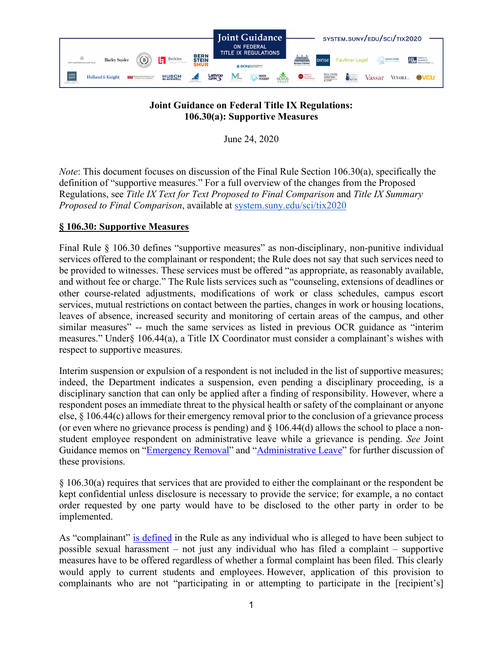

## **Joint Guidance on Federal Title IX Regulations: 106.30(a): Supportive Measures**

June 24, 2020

*Note*: This document focuses on discussion of the Final Rule Section 106.30(a), specifically the definition of "supportive measures." For a full overview of the changes from the Proposed Regulations, see *Title IX Text for Text Proposed to Final Comparison* and *Title IX Summary Proposed to Final Comparison*, available at [system.suny.edu/sci/tix2020](https://system.suny.edu/sci/tix2020/)

## **§ 106.30: Supportive Measures**

Final Rule § 106.30 defines "supportive measures" as non-disciplinary, non-punitive individual services offered to the complainant or respondent; the Rule does not say that such services need to be provided to witnesses. These services must be offered "as appropriate, as reasonably available, and without fee or charge." The Rule lists services such as "counseling, extensions of deadlines or other course-related adjustments, modifications of work or class schedules, campus escort services, mutual restrictions on contact between the parties, changes in work or housing locations, leaves of absence, increased security and monitoring of certain areas of the campus, and other similar measures" -- much the same services as listed in previous OCR guidance as "interim measures." Under§ 106.44(a), a Title IX Coordinator must consider a complainant's wishes with respect to supportive measures.

Interim suspension or expulsion of a respondent is not included in the list of supportive measures; indeed, the Department indicates a suspension, even pending a disciplinary proceeding, is a disciplinary sanction that can only be applied after a finding of responsibility. However, where a respondent poses an immediate threat to the physical health or safety of the complainant or anyone else, § 106.44(c) allows for their emergency removal prior to the conclusion of a grievance process (or even where no grievance process is pending) and § 106.44(d) allows the school to place a nonstudent employee respondent on administrative leave while a grievance is pending. *See* Joint Guidance memos on ["Emergency Removal"](https://system.suny.edu/media/suny/content-assets/documents/sci/tix2020/Emergency-Removal.pdf) and ["Administrative Leave"](https://system.suny.edu/media/suny/content-assets/documents/sci/tix2020/Employee-Administrative-Leave.pdf) for further discussion of these provisions.

§ 106.30(a) requires that services that are provided to either the complainant or the respondent be kept confidential unless disclosure is necessary to provide the service; for example, a no contact order requested by one party would have to be disclosed to the other party in order to be implemented.

As "complainant" [is defined](https://system.suny.edu/media/suny/content-assets/documents/sci/tix2020/Complainant-and-Respondent.pdf) in the Rule as any individual who is alleged to have been subject to possible sexual harassment – not just any individual who has filed a complaint – supportive measures have to be offered regardless of whether a formal complaint has been filed. This clearly would apply to current students and employees. However, application of this provision to complainants who are not "participating in or attempting to participate in the [recipient's]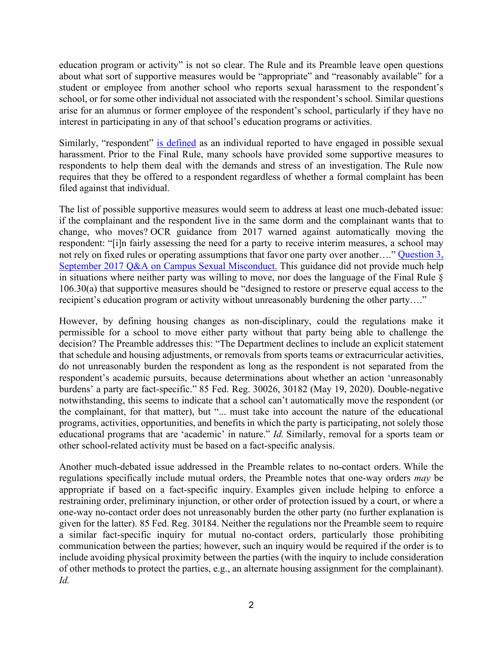education program or activity" is not so clear. The Rule and its Preamble leave open questions about what sort of supportive measures would be "appropriate" and "reasonably available" for a student or employee from another school who reports sexual harassment to the respondent's school, or for some other individual not associated with the respondent's school. Similar questions arise for an alumnus or former employee of the respondent's school, particularly if they have no interest in participating in any of that school's education programs or activities.

Similarly, "respondent" [is defined](https://system.suny.edu/media/suny/content-assets/documents/sci/tix2020/Complainant-and-Respondent.pdf) as an individual reported to have engaged in possible sexual harassment. Prior to the Final Rule, many schools have provided some supportive measures to respondents to help them deal with the demands and stress of an investigation. The Rule now requires that they be offered to a respondent regardless of whether a formal complaint has been filed against that individual.

The list of possible supportive measures would seem to address at least one much-debated issue: if the complainant and the respondent live in the same dorm and the complainant wants that to change, who moves? OCR guidance from 2017 warned against automatically moving the respondent: "[i]n fairly assessing the need for a party to receive interim measures, a school may not rely on fixed rules or operating assumptions that favor one party over another…." [Question 3,](https://www2.ed.gov/about/offices/list/ocr/docs/qa-title-ix-201709.pdf) September 2017 Q&A [on Campus Sexual Misconduct.](https://www2.ed.gov/about/offices/list/ocr/docs/qa-title-ix-201709.pdf) This guidance did not provide much help in situations where neither party was willing to move, nor does the language of the Final Rule § 106.30(a) that supportive measures should be "designed to restore or preserve equal access to the recipient's education program or activity without unreasonably burdening the other party…."

However, by defining housing changes as non-disciplinary, could the regulations make it permissible for a school to move either party without that party being able to challenge the decision? The Preamble addresses this: "The Department declines to include an explicit statement that schedule and housing adjustments, or removals from sports teams or extracurricular activities, do not unreasonably burden the respondent as long as the respondent is not separated from the respondent's academic pursuits, because determinations about whether an action 'unreasonably burdens' a party are fact-specific." 85 Fed. Reg. 30026, 30182 (May 19, 2020). Double-negative notwithstanding, this seems to indicate that a school can't automatically move the respondent (or the complainant, for that matter), but "... must take into account the nature of the educational programs, activities, opportunities, and benefits in which the party is participating, not solely those educational programs that are 'academic' in nature." *Id.* Similarly, removal for a sports team or other school-related activity must be based on a fact-specific analysis.

Another much-debated issue addressed in the Preamble relates to no-contact orders. While the regulations specifically include mutual orders, the Preamble notes that one-way orders *may* be appropriate if based on a fact-specific inquiry. Examples given include helping to enforce a restraining order, preliminary injunction, or other order of protection issued by a court, or where a one-way no-contact order does not unreasonably burden the other party (no further explanation is given for the latter). 85 Fed. Reg. 30184. Neither the regulations nor the Preamble seem to require a similar fact-specific inquiry for mutual no-contact orders, particularly those prohibiting communication between the parties; however, such an inquiry would be required if the order is to include avoiding physical proximity between the parties (with the inquiry to include consideration of other methods to protect the parties, e.g., an alternate housing assignment for the complainant). *Id.*